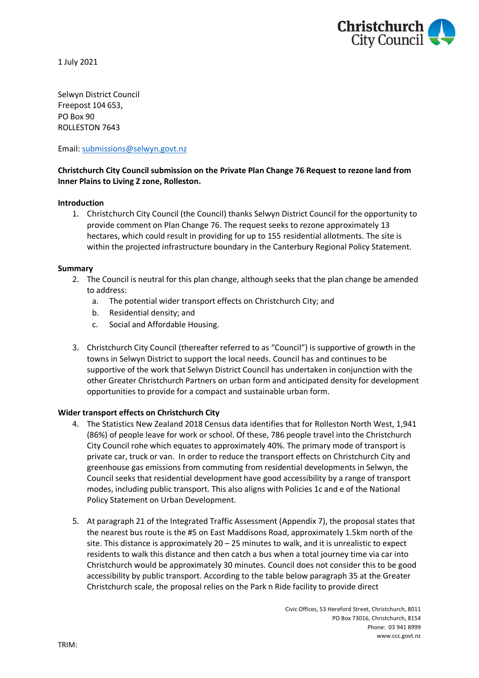

1 July 2021

Selwyn District Council Freepost 104 653, PO Box 90 ROLLESTON 7643

Email: [submissions@selwyn.govt.nz](mailto:submissions@selwyn.govt.nz)

# **Christchurch City Council submission on the Private Plan Change 76 Request to rezone land from Inner Plains to Living Z zone, Rolleston.**

## **Introduction**

1. Christchurch City Council (the Council) thanks Selwyn District Council for the opportunity to provide comment on Plan Change 76. The request seeks to rezone approximately 13 hectares, which could result in providing for up to 155 residential allotments. The site is within the projected infrastructure boundary in the Canterbury Regional Policy Statement.

#### **Summary**

- 2. The Council is neutral for this plan change, although seeks that the plan change be amended to address:
	- a. The potential wider transport effects on Christchurch City; and
	- b. Residential density; and
	- c. Social and Affordable Housing.
- 3. Christchurch City Council (thereafter referred to as "Council") is supportive of growth in the towns in Selwyn District to support the local needs. Council has and continues to be supportive of the work that Selwyn District Council has undertaken in conjunction with the other Greater Christchurch Partners on urban form and anticipated density for development opportunities to provide for a compact and sustainable urban form.

## **Wider transport effects on Christchurch City**

- 4. The Statistics New Zealand 2018 Census data identifies that for Rolleston North West, 1,941 (86%) of people leave for work or school. Of these, 786 people travel into the Christchurch City Council rohe which equates to approximately 40%. The primary mode of transport is private car, truck or van. In order to reduce the transport effects on Christchurch City and greenhouse gas emissions from commuting from residential developments in Selwyn, the Council seeks that residential development have good accessibility by a range of transport modes, including public transport. This also aligns with Policies 1c and e of the National Policy Statement on Urban Development.
- 5. At paragraph 21 of the Integrated Traffic Assessment (Appendix 7), the proposal states that the nearest bus route is the #5 on East Maddisons Road, approximately 1.5km north of the site. This distance is approximately 20 – 25 minutes to walk, and it is unrealistic to expect residents to walk this distance and then catch a bus when a total journey time via car into Christchurch would be approximately 30 minutes. Council does not consider this to be good accessibility by public transport. According to the table below paragraph 35 at the Greater Christchurch scale, the proposal relies on the Park n Ride facility to provide direct